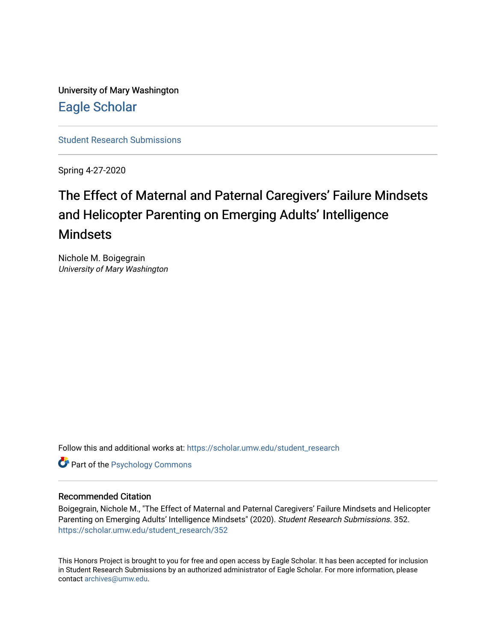University of Mary Washington [Eagle Scholar](https://scholar.umw.edu/) 

[Student Research Submissions](https://scholar.umw.edu/student_research) 

Spring 4-27-2020

# The Effect of Maternal and Paternal Caregivers' Failure Mindsets and Helicopter Parenting on Emerging Adults' Intelligence Mindsets

Nichole M. Boigegrain University of Mary Washington

Follow this and additional works at: [https://scholar.umw.edu/student\\_research](https://scholar.umw.edu/student_research?utm_source=scholar.umw.edu%2Fstudent_research%2F352&utm_medium=PDF&utm_campaign=PDFCoverPages)

**Part of the Psychology Commons** 

#### Recommended Citation

Boigegrain, Nichole M., "The Effect of Maternal and Paternal Caregivers' Failure Mindsets and Helicopter Parenting on Emerging Adults' Intelligence Mindsets" (2020). Student Research Submissions. 352. [https://scholar.umw.edu/student\\_research/352](https://scholar.umw.edu/student_research/352?utm_source=scholar.umw.edu%2Fstudent_research%2F352&utm_medium=PDF&utm_campaign=PDFCoverPages)

This Honors Project is brought to you for free and open access by Eagle Scholar. It has been accepted for inclusion in Student Research Submissions by an authorized administrator of Eagle Scholar. For more information, please contact [archives@umw.edu](mailto:archives@umw.edu).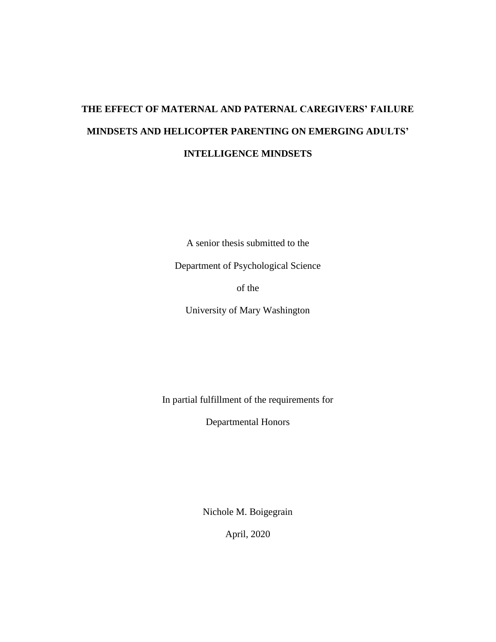# **THE EFFECT OF MATERNAL AND PATERNAL CAREGIVERS' FAILURE MINDSETS AND HELICOPTER PARENTING ON EMERGING ADULTS' INTELLIGENCE MINDSETS**

A senior thesis submitted to the

Department of Psychological Science

of the

University of Mary Washington

In partial fulfillment of the requirements for

Departmental Honors

Nichole M. Boigegrain

April, 2020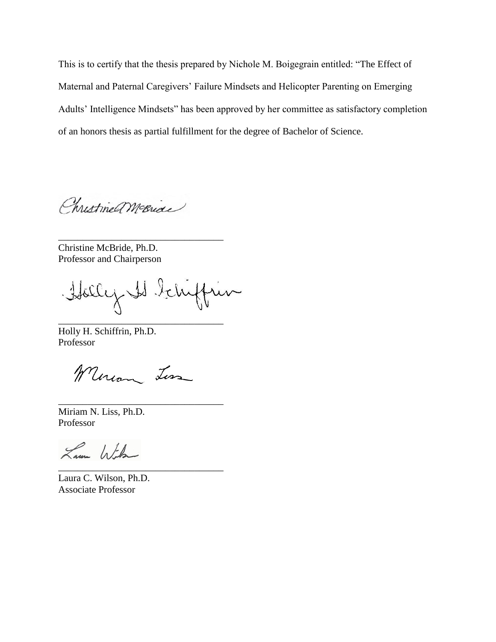This is to certify that the thesis prepared by Nichole M. Boigegrain entitled: "The Effect of Maternal and Paternal Caregivers' Failure Mindsets and Helicopter Parenting on Emerging Adults' Intelligence Mindsets" has been approved by her committee as satisfactory completion of an honors thesis as partial fulfillment for the degree of Bachelor of Science.

Christme McBride

\_\_\_\_\_\_\_\_\_\_\_\_\_\_\_\_\_\_\_\_\_\_\_\_\_\_\_\_\_\_\_\_\_\_

Christine McBride, Ph.D. Professor and Chairperson

Holly Is teluffun

\_\_\_\_\_\_\_\_\_\_\_\_\_\_\_\_\_\_\_\_\_\_\_\_\_\_\_\_\_\_\_\_\_\_

Holly H. Schiffrin, Ph.D. Professor

Mercan Less

\_\_\_\_\_\_\_\_\_\_\_\_\_\_\_\_\_\_\_\_\_\_\_\_\_\_\_\_\_\_\_\_\_\_

Miriam N. Liss, Ph.D. Professor

Lam With \_\_\_\_\_\_\_\_\_\_\_\_\_\_\_\_\_\_\_\_\_\_\_\_\_\_\_\_\_\_\_\_\_\_

Laura C. Wilson, Ph.D. Associate Professor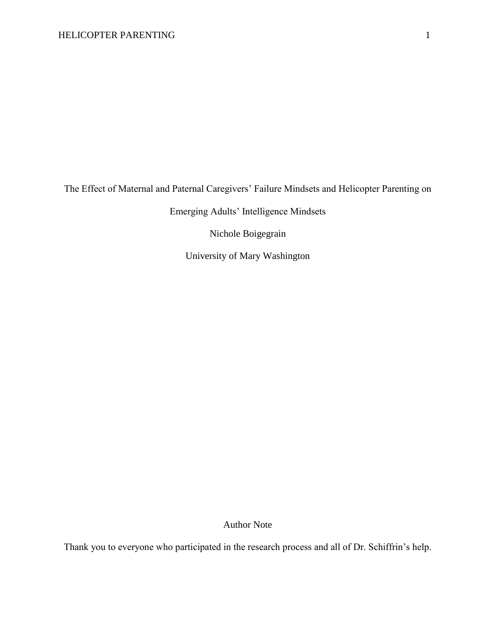The Effect of Maternal and Paternal Caregivers' Failure Mindsets and Helicopter Parenting on

Emerging Adults' Intelligence Mindsets

Nichole Boigegrain

University of Mary Washington

Author Note

Thank you to everyone who participated in the research process and all of Dr. Schiffrin's help.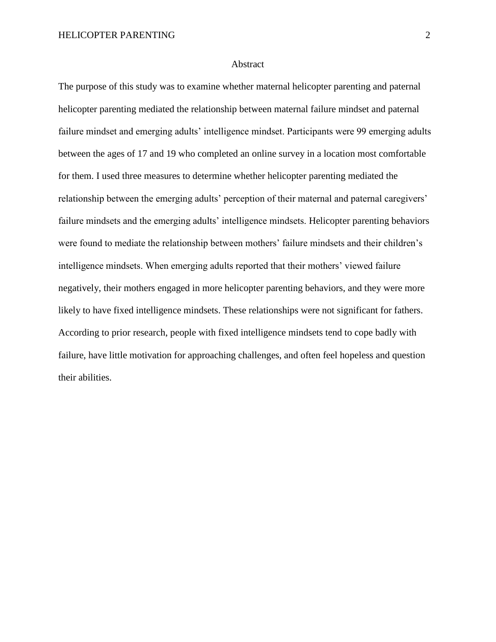#### Abstract

The purpose of this study was to examine whether maternal helicopter parenting and paternal helicopter parenting mediated the relationship between maternal failure mindset and paternal failure mindset and emerging adults' intelligence mindset. Participants were 99 emerging adults between the ages of 17 and 19 who completed an online survey in a location most comfortable for them. I used three measures to determine whether helicopter parenting mediated the relationship between the emerging adults' perception of their maternal and paternal caregivers' failure mindsets and the emerging adults' intelligence mindsets. Helicopter parenting behaviors were found to mediate the relationship between mothers' failure mindsets and their children's intelligence mindsets. When emerging adults reported that their mothers' viewed failure negatively, their mothers engaged in more helicopter parenting behaviors, and they were more likely to have fixed intelligence mindsets. These relationships were not significant for fathers. According to prior research, people with fixed intelligence mindsets tend to cope badly with failure, have little motivation for approaching challenges, and often feel hopeless and question their abilities.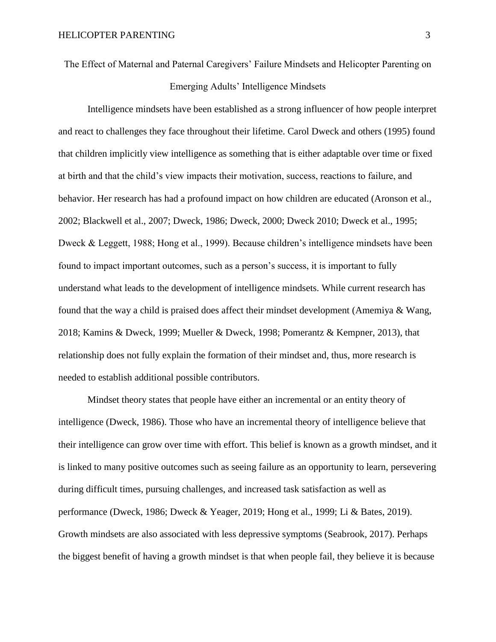The Effect of Maternal and Paternal Caregivers' Failure Mindsets and Helicopter Parenting on Emerging Adults' Intelligence Mindsets

Intelligence mindsets have been established as a strong influencer of how people interpret and react to challenges they face throughout their lifetime. Carol Dweck and others (1995) found that children implicitly view intelligence as something that is either adaptable over time or fixed at birth and that the child's view impacts their motivation, success, reactions to failure, and behavior. Her research has had a profound impact on how children are educated (Aronson et al., 2002; Blackwell et al., 2007; Dweck, 1986; Dweck, 2000; Dweck 2010; Dweck et al., 1995; Dweck & Leggett, 1988; Hong et al., 1999). Because children's intelligence mindsets have been found to impact important outcomes, such as a person's success, it is important to fully understand what leads to the development of intelligence mindsets. While current research has found that the way a child is praised does affect their mindset development (Amemiya & Wang, 2018; Kamins & Dweck, 1999; Mueller & Dweck, 1998; Pomerantz & Kempner, 2013), that relationship does not fully explain the formation of their mindset and, thus, more research is needed to establish additional possible contributors.

Mindset theory states that people have either an incremental or an entity theory of intelligence (Dweck, 1986). Those who have an incremental theory of intelligence believe that their intelligence can grow over time with effort. This belief is known as a growth mindset, and it is linked to many positive outcomes such as seeing failure as an opportunity to learn, persevering during difficult times, pursuing challenges, and increased task satisfaction as well as performance (Dweck, 1986; Dweck & Yeager, 2019; Hong et al., 1999; Li & Bates, 2019). Growth mindsets are also associated with less depressive symptoms (Seabrook, 2017). Perhaps the biggest benefit of having a growth mindset is that when people fail, they believe it is because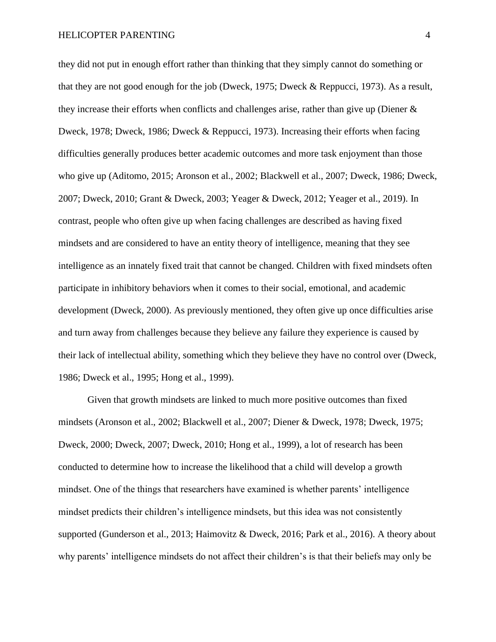they did not put in enough effort rather than thinking that they simply cannot do something or that they are not good enough for the job (Dweck, 1975; Dweck & Reppucci, 1973). As a result, they increase their efforts when conflicts and challenges arise, rather than give up (Diener  $\&$ Dweck, 1978; Dweck, 1986; Dweck & Reppucci, 1973). Increasing their efforts when facing difficulties generally produces better academic outcomes and more task enjoyment than those who give up (Aditomo, 2015; Aronson et al., 2002; Blackwell et al., 2007; Dweck, 1986; Dweck, 2007; Dweck, 2010; Grant & Dweck, 2003; Yeager & Dweck, 2012; Yeager et al., 2019). In contrast, people who often give up when facing challenges are described as having fixed mindsets and are considered to have an entity theory of intelligence, meaning that they see intelligence as an innately fixed trait that cannot be changed. Children with fixed mindsets often participate in inhibitory behaviors when it comes to their social, emotional, and academic development (Dweck, 2000). As previously mentioned, they often give up once difficulties arise and turn away from challenges because they believe any failure they experience is caused by their lack of intellectual ability, something which they believe they have no control over (Dweck, 1986; Dweck et al., 1995; Hong et al., 1999).

Given that growth mindsets are linked to much more positive outcomes than fixed mindsets (Aronson et al., 2002; Blackwell et al., 2007; Diener & Dweck, 1978; Dweck, 1975; Dweck, 2000; Dweck, 2007; Dweck, 2010; Hong et al., 1999), a lot of research has been conducted to determine how to increase the likelihood that a child will develop a growth mindset. One of the things that researchers have examined is whether parents' intelligence mindset predicts their children's intelligence mindsets, but this idea was not consistently supported (Gunderson et al., 2013; Haimovitz & Dweck, 2016; Park et al., 2016). A theory about why parents' intelligence mindsets do not affect their children's is that their beliefs may only be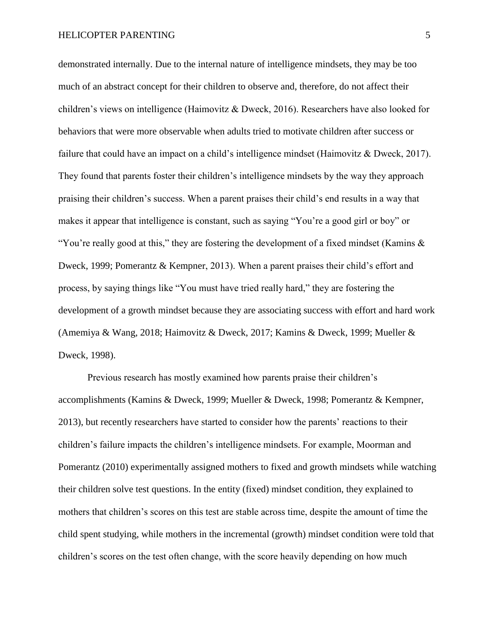demonstrated internally. Due to the internal nature of intelligence mindsets, they may be too much of an abstract concept for their children to observe and, therefore, do not affect their children's views on intelligence (Haimovitz & Dweck, 2016). Researchers have also looked for behaviors that were more observable when adults tried to motivate children after success or failure that could have an impact on a child's intelligence mindset (Haimovitz & Dweck, 2017). They found that parents foster their children's intelligence mindsets by the way they approach praising their children's success. When a parent praises their child's end results in a way that makes it appear that intelligence is constant, such as saying "You're a good girl or boy" or "You're really good at this," they are fostering the development of a fixed mindset (Kamins  $\&$ Dweck, 1999; Pomerantz & Kempner, 2013). When a parent praises their child's effort and process, by saying things like "You must have tried really hard," they are fostering the development of a growth mindset because they are associating success with effort and hard work (Amemiya & Wang, 2018; Haimovitz & Dweck, 2017; Kamins & Dweck, 1999; Mueller & Dweck, 1998).

Previous research has mostly examined how parents praise their children's accomplishments (Kamins & Dweck, 1999; Mueller & Dweck, 1998; Pomerantz & Kempner, 2013), but recently researchers have started to consider how the parents' reactions to their children's failure impacts the children's intelligence mindsets. For example, Moorman and Pomerantz (2010) experimentally assigned mothers to fixed and growth mindsets while watching their children solve test questions. In the entity (fixed) mindset condition, they explained to mothers that children's scores on this test are stable across time, despite the amount of time the child spent studying, while mothers in the incremental (growth) mindset condition were told that children's scores on the test often change, with the score heavily depending on how much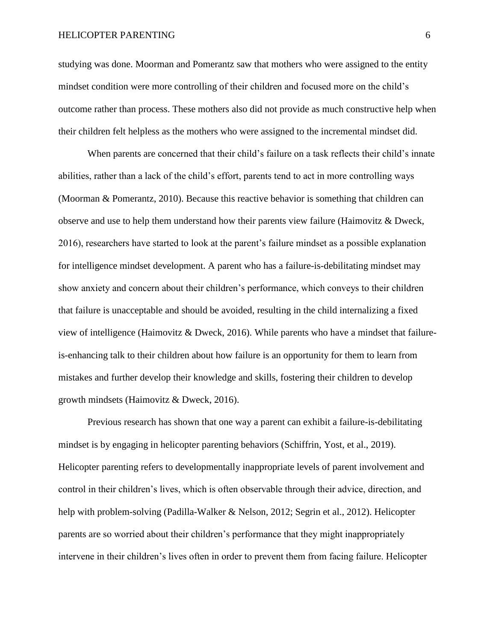#### HELICOPTER PARENTING 6

studying was done. Moorman and Pomerantz saw that mothers who were assigned to the entity mindset condition were more controlling of their children and focused more on the child's outcome rather than process. These mothers also did not provide as much constructive help when their children felt helpless as the mothers who were assigned to the incremental mindset did.

When parents are concerned that their child's failure on a task reflects their child's innate abilities, rather than a lack of the child's effort, parents tend to act in more controlling ways (Moorman & Pomerantz, 2010). Because this reactive behavior is something that children can observe and use to help them understand how their parents view failure (Haimovitz & Dweck, 2016), researchers have started to look at the parent's failure mindset as a possible explanation for intelligence mindset development. A parent who has a failure-is-debilitating mindset may show anxiety and concern about their children's performance, which conveys to their children that failure is unacceptable and should be avoided, resulting in the child internalizing a fixed view of intelligence (Haimovitz & Dweck, 2016). While parents who have a mindset that failureis-enhancing talk to their children about how failure is an opportunity for them to learn from mistakes and further develop their knowledge and skills, fostering their children to develop growth mindsets (Haimovitz & Dweck, 2016).

Previous research has shown that one way a parent can exhibit a failure-is-debilitating mindset is by engaging in helicopter parenting behaviors (Schiffrin, Yost, et al., 2019). Helicopter parenting refers to developmentally inappropriate levels of parent involvement and control in their children's lives, which is often observable through their advice, direction, and help with problem-solving (Padilla-Walker & Nelson, 2012; Segrin et al., 2012). Helicopter parents are so worried about their children's performance that they might inappropriately intervene in their children's lives often in order to prevent them from facing failure. Helicopter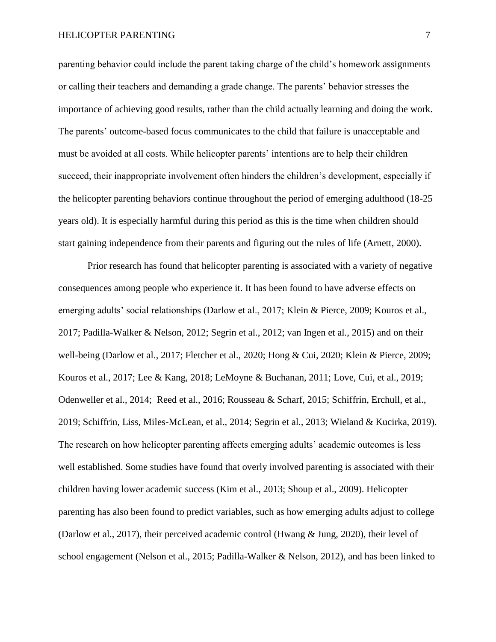#### HELICOPTER PARENTING 7

parenting behavior could include the parent taking charge of the child's homework assignments or calling their teachers and demanding a grade change. The parents' behavior stresses the importance of achieving good results, rather than the child actually learning and doing the work. The parents' outcome-based focus communicates to the child that failure is unacceptable and must be avoided at all costs. While helicopter parents' intentions are to help their children succeed, their inappropriate involvement often hinders the children's development, especially if the helicopter parenting behaviors continue throughout the period of emerging adulthood (18-25 years old). It is especially harmful during this period as this is the time when children should start gaining independence from their parents and figuring out the rules of life (Arnett, 2000).

Prior research has found that helicopter parenting is associated with a variety of negative consequences among people who experience it. It has been found to have adverse effects on emerging adults' social relationships (Darlow et al., 2017; Klein & Pierce, 2009; Kouros et al., 2017; Padilla-Walker & Nelson, 2012; Segrin et al., 2012; van Ingen et al., 2015) and on their well-being (Darlow et al., 2017; Fletcher et al., 2020; Hong & Cui, 2020; Klein & Pierce, 2009; Kouros et al., 2017; Lee & Kang, 2018; LeMoyne & Buchanan, 2011; Love, Cui, et al., 2019; Odenweller et al., 2014; Reed et al., 2016; Rousseau & Scharf, 2015; Schiffrin, Erchull, et al., 2019; Schiffrin, Liss, Miles-McLean, et al., 2014; Segrin et al., 2013; Wieland & Kucirka, 2019). The research on how helicopter parenting affects emerging adults' academic outcomes is less well established. Some studies have found that overly involved parenting is associated with their children having lower academic success (Kim et al., 2013; Shoup et al., 2009). Helicopter parenting has also been found to predict variables, such as how emerging adults adjust to college (Darlow et al., 2017), their perceived academic control (Hwang & Jung, 2020), their level of school engagement (Nelson et al., 2015; Padilla-Walker & Nelson, 2012), and has been linked to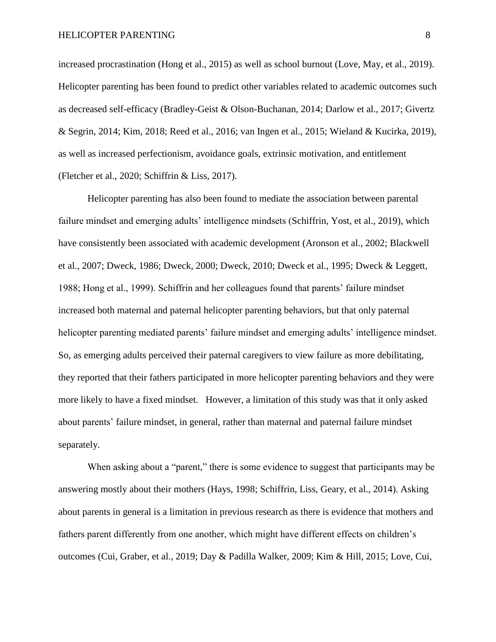increased procrastination (Hong et al., 2015) as well as school burnout (Love, May, et al., 2019). Helicopter parenting has been found to predict other variables related to academic outcomes such as decreased self-efficacy (Bradley-Geist & Olson-Buchanan, 2014; Darlow et al., 2017; Givertz & Segrin, 2014; Kim, 2018; Reed et al., 2016; van Ingen et al., 2015; Wieland & Kucirka, 2019), as well as increased perfectionism, avoidance goals, extrinsic motivation, and entitlement (Fletcher et al., 2020; Schiffrin & Liss, 2017).

Helicopter parenting has also been found to mediate the association between parental failure mindset and emerging adults' intelligence mindsets (Schiffrin, Yost, et al., 2019), which have consistently been associated with academic development (Aronson et al., 2002; Blackwell et al., 2007; Dweck, 1986; Dweck, 2000; Dweck, 2010; Dweck et al., 1995; Dweck & Leggett, 1988; Hong et al., 1999). Schiffrin and her colleagues found that parents' failure mindset increased both maternal and paternal helicopter parenting behaviors, but that only paternal helicopter parenting mediated parents' failure mindset and emerging adults' intelligence mindset. So, as emerging adults perceived their paternal caregivers to view failure as more debilitating, they reported that their fathers participated in more helicopter parenting behaviors and they were more likely to have a fixed mindset. However, a limitation of this study was that it only asked about parents' failure mindset, in general, rather than maternal and paternal failure mindset separately.

When asking about a "parent," there is some evidence to suggest that participants may be answering mostly about their mothers (Hays, 1998; Schiffrin, Liss, Geary, et al., 2014). Asking about parents in general is a limitation in previous research as there is evidence that mothers and fathers parent differently from one another, which might have different effects on children's outcomes (Cui, Graber, et al., 2019; Day & Padilla Walker, 2009; Kim & Hill, 2015; Love, Cui,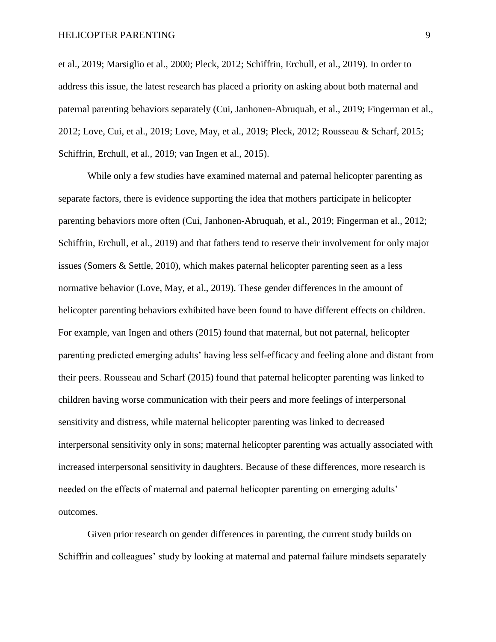et al., 2019; Marsiglio et al., 2000; Pleck, 2012; Schiffrin, Erchull, et al., 2019). In order to address this issue, the latest research has placed a priority on asking about both maternal and paternal parenting behaviors separately (Cui, Janhonen-Abruquah, et al., 2019; Fingerman et al., 2012; Love, Cui, et al., 2019; Love, May, et al., 2019; Pleck, 2012; Rousseau & Scharf, 2015; Schiffrin, Erchull, et al., 2019; van Ingen et al., 2015).

While only a few studies have examined maternal and paternal helicopter parenting as separate factors, there is evidence supporting the idea that mothers participate in helicopter parenting behaviors more often (Cui, Janhonen-Abruquah, et al., 2019; Fingerman et al., 2012; Schiffrin, Erchull, et al., 2019) and that fathers tend to reserve their involvement for only major issues (Somers & Settle, 2010), which makes paternal helicopter parenting seen as a less normative behavior (Love, May, et al., 2019). These gender differences in the amount of helicopter parenting behaviors exhibited have been found to have different effects on children. For example, van Ingen and others (2015) found that maternal, but not paternal, helicopter parenting predicted emerging adults' having less self-efficacy and feeling alone and distant from their peers. Rousseau and Scharf (2015) found that paternal helicopter parenting was linked to children having worse communication with their peers and more feelings of interpersonal sensitivity and distress, while maternal helicopter parenting was linked to decreased interpersonal sensitivity only in sons; maternal helicopter parenting was actually associated with increased interpersonal sensitivity in daughters. Because of these differences, more research is needed on the effects of maternal and paternal helicopter parenting on emerging adults' outcomes.

Given prior research on gender differences in parenting, the current study builds on Schiffrin and colleagues' study by looking at maternal and paternal failure mindsets separately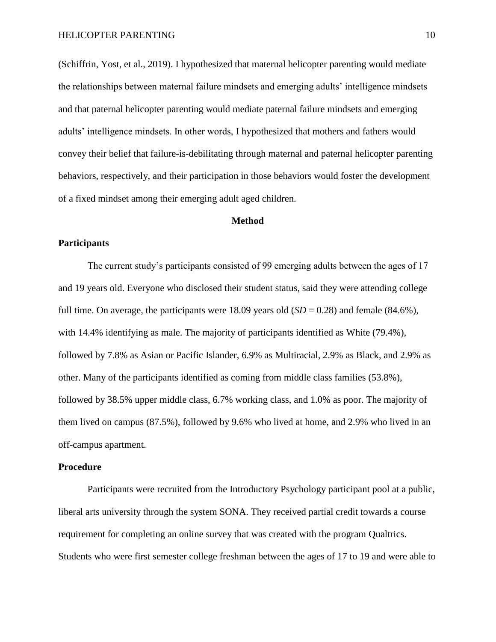(Schiffrin, Yost, et al., 2019). I hypothesized that maternal helicopter parenting would mediate the relationships between maternal failure mindsets and emerging adults' intelligence mindsets and that paternal helicopter parenting would mediate paternal failure mindsets and emerging adults' intelligence mindsets. In other words, I hypothesized that mothers and fathers would convey their belief that failure-is-debilitating through maternal and paternal helicopter parenting behaviors, respectively, and their participation in those behaviors would foster the development of a fixed mindset among their emerging adult aged children.

#### **Method**

#### **Participants**

The current study's participants consisted of 99 emerging adults between the ages of 17 and 19 years old. Everyone who disclosed their student status, said they were attending college full time. On average, the participants were 18.09 years old  $(SD = 0.28)$  and female  $(84.6\%)$ , with 14.4% identifying as male. The majority of participants identified as White (79.4%), followed by 7.8% as Asian or Pacific Islander, 6.9% as Multiracial, 2.9% as Black, and 2.9% as other. Many of the participants identified as coming from middle class families (53.8%), followed by 38.5% upper middle class, 6.7% working class, and 1.0% as poor. The majority of them lived on campus (87.5%), followed by 9.6% who lived at home, and 2.9% who lived in an off-campus apartment.

#### **Procedure**

Participants were recruited from the Introductory Psychology participant pool at a public, liberal arts university through the system SONA. They received partial credit towards a course requirement for completing an online survey that was created with the program Qualtrics. Students who were first semester college freshman between the ages of 17 to 19 and were able to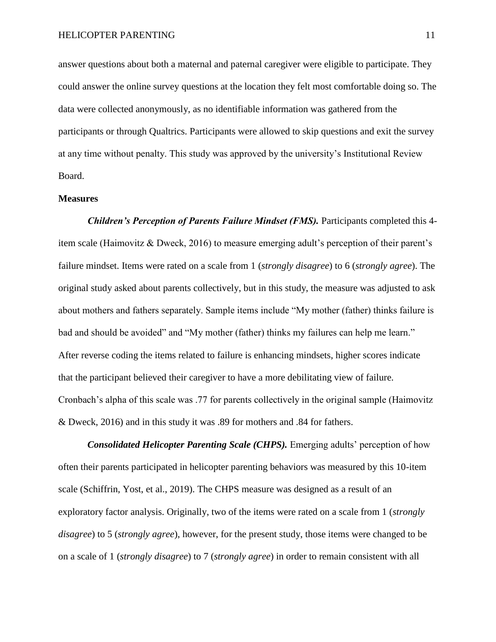answer questions about both a maternal and paternal caregiver were eligible to participate. They could answer the online survey questions at the location they felt most comfortable doing so. The data were collected anonymously, as no identifiable information was gathered from the participants or through Qualtrics. Participants were allowed to skip questions and exit the survey at any time without penalty. This study was approved by the university's Institutional Review Board.

#### **Measures**

*Children's Perception of Parents Failure Mindset (FMS).* Participants completed this 4item scale (Haimovitz & Dweck, 2016) to measure emerging adult's perception of their parent's failure mindset. Items were rated on a scale from 1 (*strongly disagree*) to 6 (*strongly agree*). The original study asked about parents collectively, but in this study, the measure was adjusted to ask about mothers and fathers separately. Sample items include "My mother (father) thinks failure is bad and should be avoided" and "My mother (father) thinks my failures can help me learn." After reverse coding the items related to failure is enhancing mindsets, higher scores indicate that the participant believed their caregiver to have a more debilitating view of failure. Cronbach's alpha of this scale was .77 for parents collectively in the original sample (Haimovitz & Dweck, 2016) and in this study it was .89 for mothers and .84 for fathers.

*Consolidated Helicopter Parenting Scale (CHPS).* Emerging adults' perception of how often their parents participated in helicopter parenting behaviors was measured by this 10-item scale (Schiffrin, Yost, et al., 2019). The CHPS measure was designed as a result of an exploratory factor analysis. Originally, two of the items were rated on a scale from 1 (*strongly disagree*) to 5 (*strongly agree*), however, for the present study, those items were changed to be on a scale of 1 (*strongly disagree*) to 7 (*strongly agree*) in order to remain consistent with all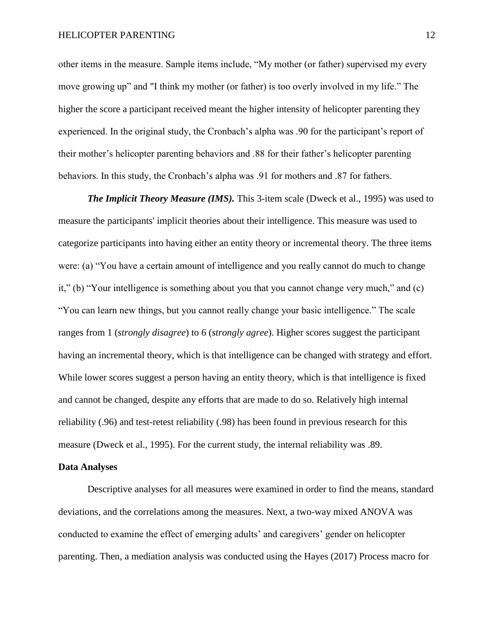other items in the measure. Sample items include, "My mother (or father) supervised my every move growing up" and "I think my mother (or father) is too overly involved in my life." The higher the score a participant received meant the higher intensity of helicopter parenting they experienced. In the original study, the Cronbach's alpha was .90 for the participant's report of their mother's helicopter parenting behaviors and .88 for their father's helicopter parenting behaviors. In this study, the Cronbach's alpha was .91 for mothers and .87 for fathers.

*The Implicit Theory Measure (IMS).* This 3-item scale (Dweck et al., 1995) was used to measure the participants' implicit theories about their intelligence. This measure was used to categorize participants into having either an entity theory or incremental theory. The three items were: (a) "You have a certain amount of intelligence and you really cannot do much to change it," (b) "Your intelligence is something about you that you cannot change very much," and (c) "You can learn new things, but you cannot really change your basic intelligence." The scale ranges from 1 (*strongly disagree*) to 6 (*strongly agree*). Higher scores suggest the participant having an incremental theory, which is that intelligence can be changed with strategy and effort. While lower scores suggest a person having an entity theory, which is that intelligence is fixed and cannot be changed, despite any efforts that are made to do so. Relatively high internal reliability (.96) and test-retest reliability (.98) has been found in previous research for this measure (Dweck et al., 1995). For the current study, the internal reliability was .89.

#### **Data Analyses**

Descriptive analyses for all measures were examined in order to find the means, standard deviations, and the correlations among the measures. Next, a two-way mixed ANOVA was conducted to examine the effect of emerging adults' and caregivers' gender on helicopter parenting. Then, a mediation analysis was conducted using the Hayes (2017) Process macro for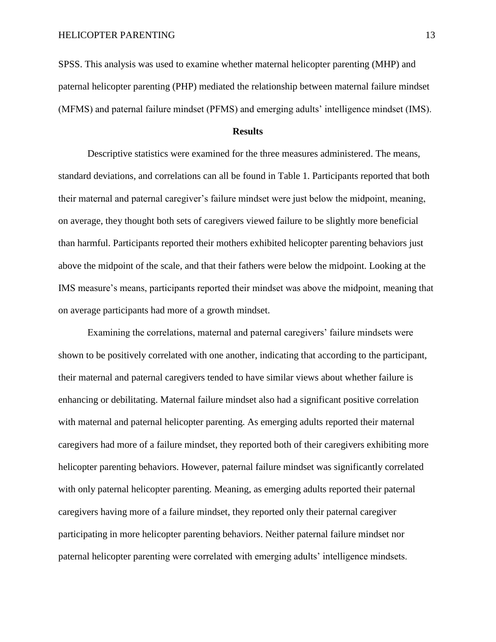SPSS. This analysis was used to examine whether maternal helicopter parenting (MHP) and paternal helicopter parenting (PHP) mediated the relationship between maternal failure mindset (MFMS) and paternal failure mindset (PFMS) and emerging adults' intelligence mindset (IMS).

#### **Results**

Descriptive statistics were examined for the three measures administered. The means, standard deviations, and correlations can all be found in Table 1. Participants reported that both their maternal and paternal caregiver's failure mindset were just below the midpoint, meaning, on average, they thought both sets of caregivers viewed failure to be slightly more beneficial than harmful. Participants reported their mothers exhibited helicopter parenting behaviors just above the midpoint of the scale, and that their fathers were below the midpoint. Looking at the IMS measure's means, participants reported their mindset was above the midpoint, meaning that on average participants had more of a growth mindset.

Examining the correlations, maternal and paternal caregivers' failure mindsets were shown to be positively correlated with one another, indicating that according to the participant, their maternal and paternal caregivers tended to have similar views about whether failure is enhancing or debilitating. Maternal failure mindset also had a significant positive correlation with maternal and paternal helicopter parenting. As emerging adults reported their maternal caregivers had more of a failure mindset, they reported both of their caregivers exhibiting more helicopter parenting behaviors. However, paternal failure mindset was significantly correlated with only paternal helicopter parenting. Meaning, as emerging adults reported their paternal caregivers having more of a failure mindset, they reported only their paternal caregiver participating in more helicopter parenting behaviors. Neither paternal failure mindset nor paternal helicopter parenting were correlated with emerging adults' intelligence mindsets.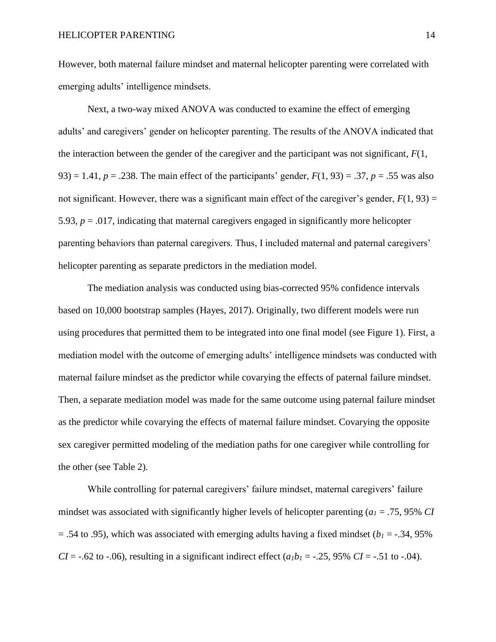However, both maternal failure mindset and maternal helicopter parenting were correlated with emerging adults' intelligence mindsets.

Next, a two-way mixed ANOVA was conducted to examine the effect of emerging adults' and caregivers' gender on helicopter parenting. The results of the ANOVA indicated that the interaction between the gender of the caregiver and the participant was not significant, *F*(1, 93) = 1.41,  $p = 0.238$ . The main effect of the participants' gender,  $F(1, 93) = 0.37$ ,  $p = 0.55$  was also not significant. However, there was a significant main effect of the caregiver's gender,  $F(1, 93) =$ 5.93,  $p = .017$ , indicating that maternal caregivers engaged in significantly more helicopter parenting behaviors than paternal caregivers. Thus, I included maternal and paternal caregivers' helicopter parenting as separate predictors in the mediation model.

The mediation analysis was conducted using bias-corrected 95% confidence intervals based on 10,000 bootstrap samples (Hayes, 2017). Originally, two different models were run using procedures that permitted them to be integrated into one final model (see Figure 1). First, a mediation model with the outcome of emerging adults' intelligence mindsets was conducted with maternal failure mindset as the predictor while covarying the effects of paternal failure mindset. Then, a separate mediation model was made for the same outcome using paternal failure mindset as the predictor while covarying the effects of maternal failure mindset. Covarying the opposite sex caregiver permitted modeling of the mediation paths for one caregiver while controlling for the other (see Table 2).

While controlling for paternal caregivers' failure mindset, maternal caregivers' failure mindset was associated with significantly higher levels of helicopter parenting (*a<sup>1</sup>* = .75, 95% *CI*  $=$  .54 to .95), which was associated with emerging adults having a fixed mindset ( $b<sub>1</sub> = -0.34$ , 95%) *CI* = -.62 to -.06), resulting in a significant indirect effect  $(a_1b_1 = -0.25, 95\% \text{ }CI = -0.51 \text{ to } -0.04)$ .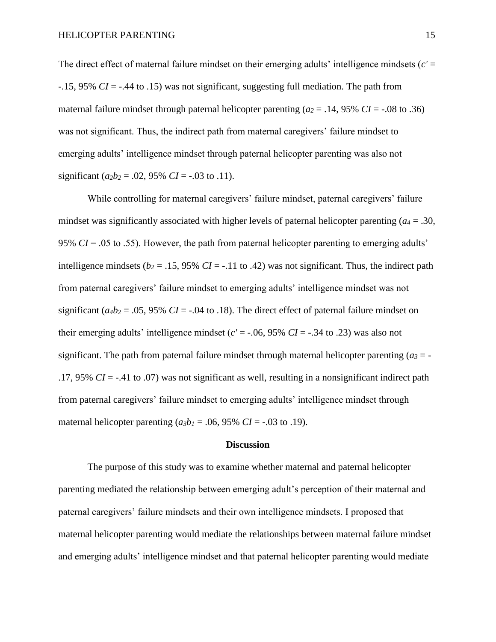The direct effect of maternal failure mindset on their emerging adults' intelligence mindsets (*c'* = -.15, 95% *CI* = -.44 to .15) was not significant, suggesting full mediation. The path from maternal failure mindset through paternal helicopter parenting  $(a_2 = .14, 95\% \text{ }CI = -.08 \text{ to } .36)$ was not significant. Thus, the indirect path from maternal caregivers' failure mindset to emerging adults' intelligence mindset through paternal helicopter parenting was also not significant ( $a_2b_2$  = .02, 95% *CI* = -.03 to .11).

While controlling for maternal caregivers' failure mindset, paternal caregivers' failure mindset was significantly associated with higher levels of paternal helicopter parenting ( $a_4$  = .30, 95% *CI* = .05 to .55). However, the path from paternal helicopter parenting to emerging adults' intelligence mindsets ( $b_2$  = .15, 95% *CI* = -.11 to .42) was not significant. Thus, the indirect path from paternal caregivers' failure mindset to emerging adults' intelligence mindset was not significant ( $a_4b_2$  = .05, 95% *CI* = -.04 to .18). The direct effect of paternal failure mindset on their emerging adults' intelligence mindset ( $c' = -0.06$ , 95%  $CI = -0.34$  to 0.23) was also not significant. The path from paternal failure mindset through maternal helicopter parenting  $(a_3 = -1)$ .17, 95% *CI* = -.41 to .07) was not significant as well, resulting in a nonsignificant indirect path from paternal caregivers' failure mindset to emerging adults' intelligence mindset through maternal helicopter parenting  $(a_3b_1 = .06, 95\% \text{ CI} = -.03 \text{ to } .19)$ .

#### **Discussion**

The purpose of this study was to examine whether maternal and paternal helicopter parenting mediated the relationship between emerging adult's perception of their maternal and paternal caregivers' failure mindsets and their own intelligence mindsets. I proposed that maternal helicopter parenting would mediate the relationships between maternal failure mindset and emerging adults' intelligence mindset and that paternal helicopter parenting would mediate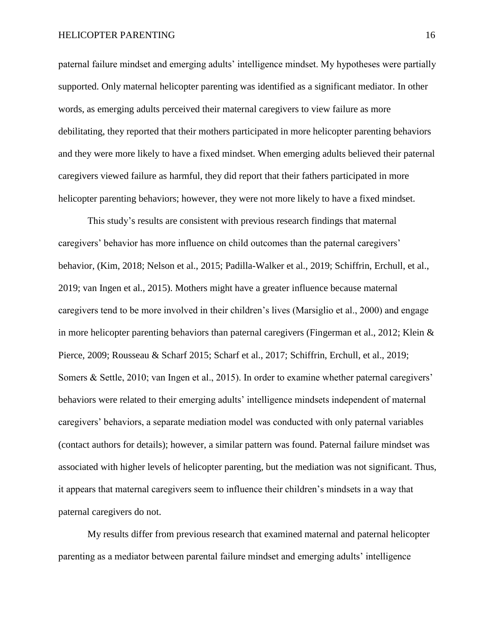#### HELICOPTER PARENTING 16

paternal failure mindset and emerging adults' intelligence mindset. My hypotheses were partially supported. Only maternal helicopter parenting was identified as a significant mediator. In other words, as emerging adults perceived their maternal caregivers to view failure as more debilitating, they reported that their mothers participated in more helicopter parenting behaviors and they were more likely to have a fixed mindset. When emerging adults believed their paternal caregivers viewed failure as harmful, they did report that their fathers participated in more helicopter parenting behaviors; however, they were not more likely to have a fixed mindset.

This study's results are consistent with previous research findings that maternal caregivers' behavior has more influence on child outcomes than the paternal caregivers' behavior, (Kim, 2018; Nelson et al., 2015; Padilla-Walker et al., 2019; Schiffrin, Erchull, et al., 2019; van Ingen et al., 2015). Mothers might have a greater influence because maternal caregivers tend to be more involved in their children's lives (Marsiglio et al., 2000) and engage in more helicopter parenting behaviors than paternal caregivers (Fingerman et al., 2012; Klein & Pierce, 2009; Rousseau & Scharf 2015; Scharf et al., 2017; Schiffrin, Erchull, et al., 2019; Somers & Settle, 2010; van Ingen et al., 2015). In order to examine whether paternal caregivers' behaviors were related to their emerging adults' intelligence mindsets independent of maternal caregivers' behaviors, a separate mediation model was conducted with only paternal variables (contact authors for details); however, a similar pattern was found. Paternal failure mindset was associated with higher levels of helicopter parenting, but the mediation was not significant. Thus, it appears that maternal caregivers seem to influence their children's mindsets in a way that paternal caregivers do not.

My results differ from previous research that examined maternal and paternal helicopter parenting as a mediator between parental failure mindset and emerging adults' intelligence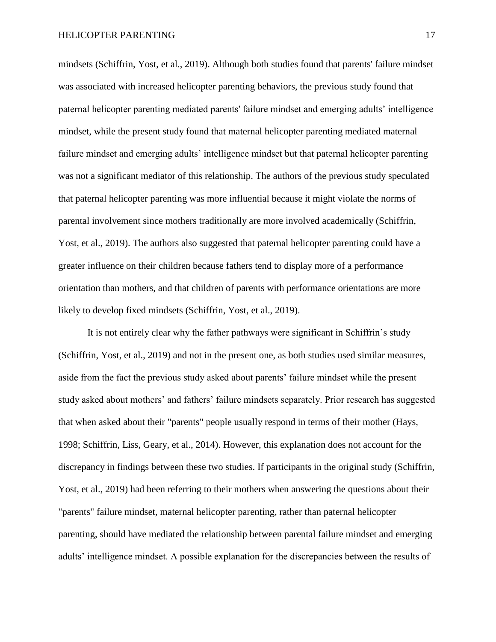mindsets (Schiffrin, Yost, et al., 2019). Although both studies found that parents' failure mindset was associated with increased helicopter parenting behaviors, the previous study found that paternal helicopter parenting mediated parents' failure mindset and emerging adults' intelligence mindset, while the present study found that maternal helicopter parenting mediated maternal failure mindset and emerging adults' intelligence mindset but that paternal helicopter parenting was not a significant mediator of this relationship. The authors of the previous study speculated that paternal helicopter parenting was more influential because it might violate the norms of parental involvement since mothers traditionally are more involved academically (Schiffrin, Yost, et al., 2019). The authors also suggested that paternal helicopter parenting could have a greater influence on their children because fathers tend to display more of a performance orientation than mothers, and that children of parents with performance orientations are more likely to develop fixed mindsets (Schiffrin, Yost, et al., 2019).

It is not entirely clear why the father pathways were significant in Schiffrin's study (Schiffrin, Yost, et al., 2019) and not in the present one, as both studies used similar measures, aside from the fact the previous study asked about parents' failure mindset while the present study asked about mothers' and fathers' failure mindsets separately. Prior research has suggested that when asked about their "parents" people usually respond in terms of their mother (Hays, 1998; Schiffrin, Liss, Geary, et al., 2014). However, this explanation does not account for the discrepancy in findings between these two studies. If participants in the original study (Schiffrin, Yost, et al., 2019) had been referring to their mothers when answering the questions about their "parents" failure mindset, maternal helicopter parenting, rather than paternal helicopter parenting, should have mediated the relationship between parental failure mindset and emerging adults' intelligence mindset. A possible explanation for the discrepancies between the results of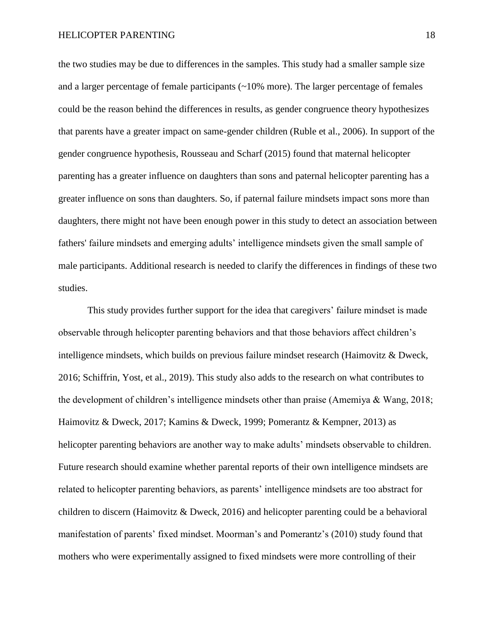the two studies may be due to differences in the samples. This study had a smaller sample size and a larger percentage of female participants (~10% more). The larger percentage of females could be the reason behind the differences in results, as gender congruence theory hypothesizes that parents have a greater impact on same-gender children (Ruble et al., 2006). In support of the gender congruence hypothesis, Rousseau and Scharf (2015) found that maternal helicopter parenting has a greater influence on daughters than sons and paternal helicopter parenting has a greater influence on sons than daughters. So, if paternal failure mindsets impact sons more than daughters, there might not have been enough power in this study to detect an association between fathers' failure mindsets and emerging adults' intelligence mindsets given the small sample of male participants. Additional research is needed to clarify the differences in findings of these two studies.

This study provides further support for the idea that caregivers' failure mindset is made observable through helicopter parenting behaviors and that those behaviors affect children's intelligence mindsets, which builds on previous failure mindset research (Haimovitz & Dweck, 2016; Schiffrin, Yost, et al., 2019). This study also adds to the research on what contributes to the development of children's intelligence mindsets other than praise (Amemiya & Wang, 2018; Haimovitz & Dweck, 2017; Kamins & Dweck, 1999; Pomerantz & Kempner, 2013) as helicopter parenting behaviors are another way to make adults' mindsets observable to children. Future research should examine whether parental reports of their own intelligence mindsets are related to helicopter parenting behaviors, as parents' intelligence mindsets are too abstract for children to discern (Haimovitz & Dweck, 2016) and helicopter parenting could be a behavioral manifestation of parents' fixed mindset. Moorman's and Pomerantz's (2010) study found that mothers who were experimentally assigned to fixed mindsets were more controlling of their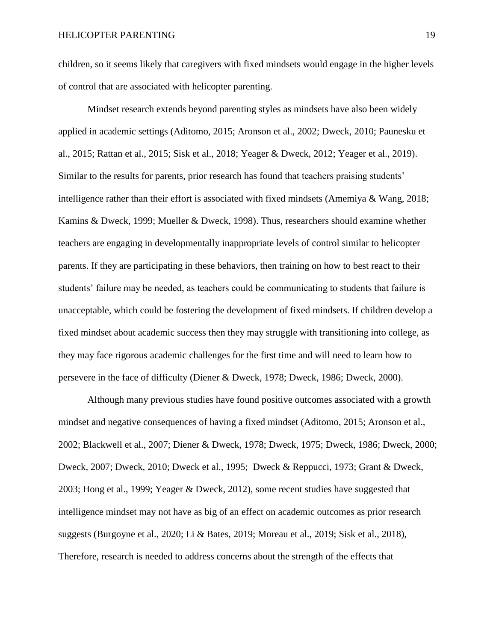children, so it seems likely that caregivers with fixed mindsets would engage in the higher levels of control that are associated with helicopter parenting.

Mindset research extends beyond parenting styles as mindsets have also been widely applied in academic settings (Aditomo, 2015; Aronson et al., 2002; Dweck, 2010; Paunesku et al., 2015; Rattan et al., 2015; Sisk et al., 2018; Yeager & Dweck, 2012; Yeager et al., 2019). Similar to the results for parents, prior research has found that teachers praising students' intelligence rather than their effort is associated with fixed mindsets (Amemiya & Wang, 2018; Kamins & Dweck, 1999; Mueller & Dweck, 1998). Thus, researchers should examine whether teachers are engaging in developmentally inappropriate levels of control similar to helicopter parents. If they are participating in these behaviors, then training on how to best react to their students' failure may be needed, as teachers could be communicating to students that failure is unacceptable, which could be fostering the development of fixed mindsets. If children develop a fixed mindset about academic success then they may struggle with transitioning into college, as they may face rigorous academic challenges for the first time and will need to learn how to persevere in the face of difficulty (Diener & Dweck, 1978; Dweck, 1986; Dweck, 2000).

Although many previous studies have found positive outcomes associated with a growth mindset and negative consequences of having a fixed mindset (Aditomo, 2015; Aronson et al., 2002; Blackwell et al., 2007; Diener & Dweck, 1978; Dweck, 1975; Dweck, 1986; Dweck, 2000; Dweck, 2007; Dweck, 2010; Dweck et al., 1995; Dweck & Reppucci, 1973; Grant & Dweck, 2003; Hong et al., 1999; Yeager & Dweck, 2012), some recent studies have suggested that intelligence mindset may not have as big of an effect on academic outcomes as prior research suggests (Burgoyne et al., 2020; Li & Bates, 2019; Moreau et al., 2019; Sisk et al., 2018), Therefore, research is needed to address concerns about the strength of the effects that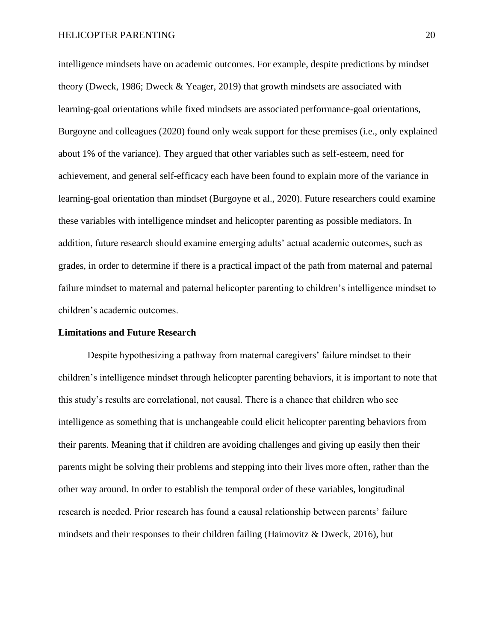intelligence mindsets have on academic outcomes. For example, despite predictions by mindset theory (Dweck, 1986; Dweck & Yeager, 2019) that growth mindsets are associated with learning-goal orientations while fixed mindsets are associated performance-goal orientations, Burgoyne and colleagues (2020) found only weak support for these premises (i.e., only explained about 1% of the variance). They argued that other variables such as self-esteem, need for achievement, and general self-efficacy each have been found to explain more of the variance in learning-goal orientation than mindset (Burgoyne et al., 2020). Future researchers could examine these variables with intelligence mindset and helicopter parenting as possible mediators. In addition, future research should examine emerging adults' actual academic outcomes, such as grades, in order to determine if there is a practical impact of the path from maternal and paternal failure mindset to maternal and paternal helicopter parenting to children's intelligence mindset to children's academic outcomes.

#### **Limitations and Future Research**

Despite hypothesizing a pathway from maternal caregivers' failure mindset to their children's intelligence mindset through helicopter parenting behaviors, it is important to note that this study's results are correlational, not causal. There is a chance that children who see intelligence as something that is unchangeable could elicit helicopter parenting behaviors from their parents. Meaning that if children are avoiding challenges and giving up easily then their parents might be solving their problems and stepping into their lives more often, rather than the other way around. In order to establish the temporal order of these variables, longitudinal research is needed. Prior research has found a causal relationship between parents' failure mindsets and their responses to their children failing (Haimovitz & Dweck, 2016), but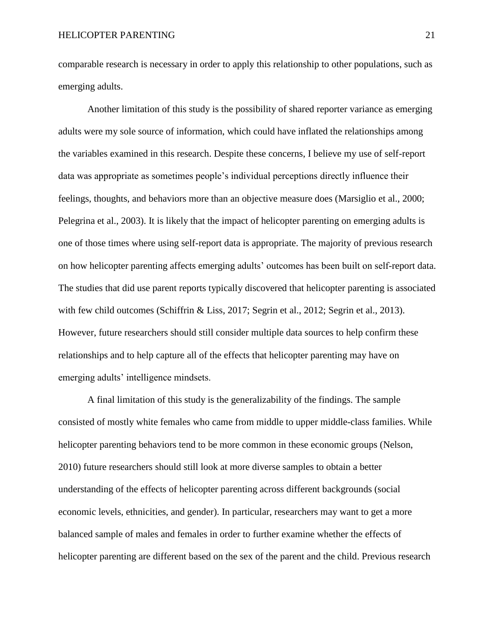comparable research is necessary in order to apply this relationship to other populations, such as emerging adults.

Another limitation of this study is the possibility of shared reporter variance as emerging adults were my sole source of information, which could have inflated the relationships among the variables examined in this research. Despite these concerns, I believe my use of self-report data was appropriate as sometimes people's individual perceptions directly influence their feelings, thoughts, and behaviors more than an objective measure does (Marsiglio et al., 2000; Pelegrina et al., 2003). It is likely that the impact of helicopter parenting on emerging adults is one of those times where using self-report data is appropriate. The majority of previous research on how helicopter parenting affects emerging adults' outcomes has been built on self-report data. The studies that did use parent reports typically discovered that helicopter parenting is associated with few child outcomes (Schiffrin & Liss, 2017; Segrin et al., 2012; Segrin et al., 2013). However, future researchers should still consider multiple data sources to help confirm these relationships and to help capture all of the effects that helicopter parenting may have on emerging adults' intelligence mindsets.

A final limitation of this study is the generalizability of the findings. The sample consisted of mostly white females who came from middle to upper middle-class families. While helicopter parenting behaviors tend to be more common in these economic groups (Nelson, 2010) future researchers should still look at more diverse samples to obtain a better understanding of the effects of helicopter parenting across different backgrounds (social economic levels, ethnicities, and gender). In particular, researchers may want to get a more balanced sample of males and females in order to further examine whether the effects of helicopter parenting are different based on the sex of the parent and the child. Previous research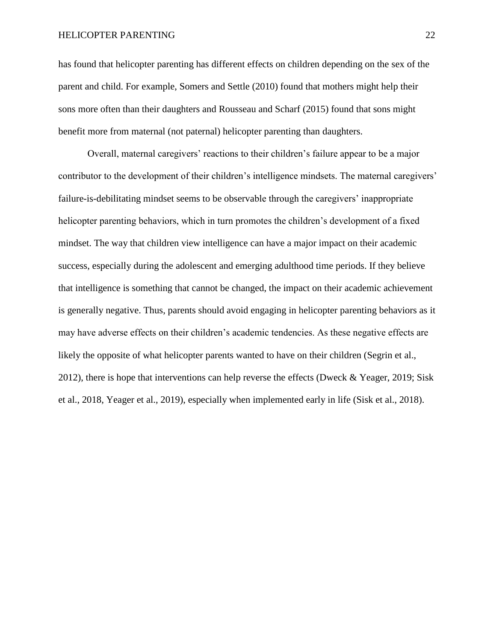#### HELICOPTER PARENTING 22

has found that helicopter parenting has different effects on children depending on the sex of the parent and child. For example, Somers and Settle (2010) found that mothers might help their sons more often than their daughters and Rousseau and Scharf (2015) found that sons might benefit more from maternal (not paternal) helicopter parenting than daughters.

Overall, maternal caregivers' reactions to their children's failure appear to be a major contributor to the development of their children's intelligence mindsets. The maternal caregivers' failure-is-debilitating mindset seems to be observable through the caregivers' inappropriate helicopter parenting behaviors, which in turn promotes the children's development of a fixed mindset. The way that children view intelligence can have a major impact on their academic success, especially during the adolescent and emerging adulthood time periods. If they believe that intelligence is something that cannot be changed, the impact on their academic achievement is generally negative. Thus, parents should avoid engaging in helicopter parenting behaviors as it may have adverse effects on their children's academic tendencies. As these negative effects are likely the opposite of what helicopter parents wanted to have on their children (Segrin et al., 2012), there is hope that interventions can help reverse the effects (Dweck & Yeager, 2019; Sisk et al., 2018, Yeager et al., 2019), especially when implemented early in life (Sisk et al., 2018).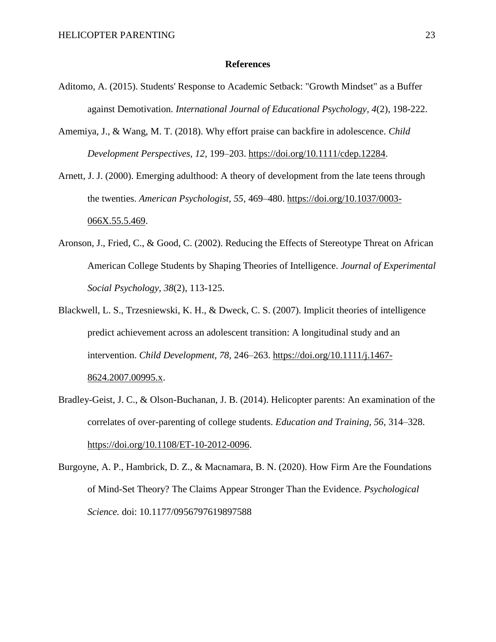#### **References**

- Aditomo, A. (2015). Students' Response to Academic Setback: "Growth Mindset" as a Buffer against Demotivation. *International Journal of Educational Psychology, 4*(2), 198-222.
- Amemiya, J., & Wang, M. T. (2018). Why effort praise can backfire in adolescence. *Child Development Perspectives, 12,* 199–203. [https://doi.org/10.1111/cdep.12284.](https://doi.org/10.1111/cdep.12284)
- Arnett, J. J. (2000). Emerging adulthood: A theory of development from the late teens through the twenties. *American Psychologist, 55,* 469–480. [https://doi.org/10.1037/0003-](https://doi.org/10.1037/0003-066X.55.5.469) [066X.55.5.469.](https://doi.org/10.1037/0003-066X.55.5.469)
- Aronson, J., Fried, C., & Good, C. (2002). Reducing the Effects of Stereotype Threat on African American College Students by Shaping Theories of Intelligence. *Journal of Experimental Social Psychology, 38*(2), 113-125.
- Blackwell, L. S., Trzesniewski, K. H., & Dweck, C. S. (2007). Implicit theories of intelligence predict achievement across an adolescent transition: A longitudinal study and an intervention. *Child Development, 78,* 246–263. [https://doi.org/10.1111/j.1467-](https://doi.org/10.1111/j.1467-8624.2007.00995.x) [8624.2007.00995.x.](https://doi.org/10.1111/j.1467-8624.2007.00995.x)
- Bradley-Geist, J. C., & Olson-Buchanan, J. B. (2014). Helicopter parents: An examination of the correlates of over-parenting of college students. *Education and Training, 56,* 314–328. [https://doi.org/10.1108/ET-10-2012-0096.](https://doi.org/10.1108/ET-10-2012-0096)
- Burgoyne, A. P., Hambrick, D. Z., & Macnamara, B. N. (2020). How Firm Are the Foundations of Mind-Set Theory? The Claims Appear Stronger Than the Evidence. *Psychological Science.* doi: 10.1177/0956797619897588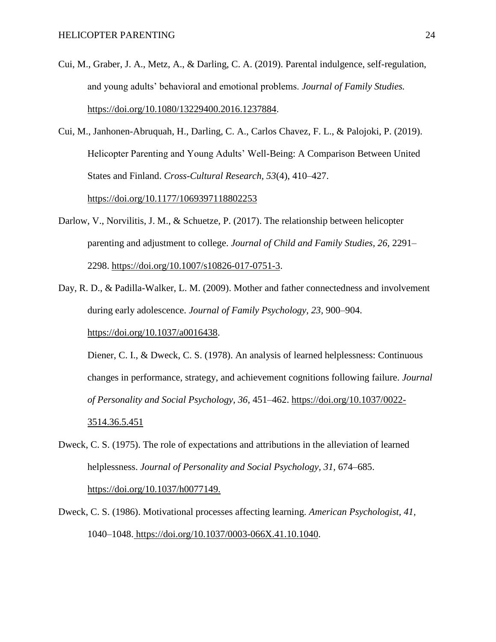- Cui, M., Graber, J. A., Metz, A., & Darling, C. A. (2019). Parental indulgence, self-regulation, and young adults' behavioral and emotional problems. *Journal of Family Studies.*  [https://doi.org/10.1080/13229400.2016.1237884.](https://doi.org/10.1080/13229400.2016.1237884)
- Cui, M., Janhonen-Abruquah, H., Darling, C. A., Carlos Chavez, F. L., & Palojoki, P. (2019). Helicopter Parenting and Young Adults' Well-Being: A Comparison Between United States and Finland. *Cross-Cultural Research, 53*(4), 410–427.

<https://doi.org/10.1177/1069397118802253>

- Darlow, V., Norvilitis, J. M., & Schuetze, P. (2017). The relationship between helicopter parenting and adjustment to college. *Journal of Child and Family Studies, 26,* 2291– 2298. [https://doi.org/10.1007/s10826-017-0751-3.](https://doi.org/10.1007/s10826-017-0751-3)
- Day, R. D., & Padilla-Walker, L. M. (2009). Mother and father connectedness and involvement during early adolescence. *Journal of Family Psychology, 23,* 900–904. [https://doi.org/10.1037/a0016438.](https://doi.org/10.1037/a0016438)

Diener, C. I., & Dweck, C. S. (1978). An analysis of learned helplessness: Continuous changes in performance, strategy, and achievement cognitions following failure. *Journal of Personality and Social Psychology, 36,* 451–462. [https://doi.org/10.1037/0022-](https://doi.org/10.1037/0022-3514.36.5.451) [3514.36.5.451](https://doi.org/10.1037/0022-3514.36.5.451)

- Dweck, C. S. (1975). The role of expectations and attributions in the alleviation of learned helplessness. *Journal of Personality and Social Psychology, 31,* 674–685. <https://doi.org/10.1037/h0077149.>
- Dweck, C. S. (1986). Motivational processes affecting learning. *American Psychologist, 41,*  1040–1048. [https://doi.org/10.1037/0003-066X.41.10.1040.](https://doi.org/10.1037/0003-066X.41.10.1040)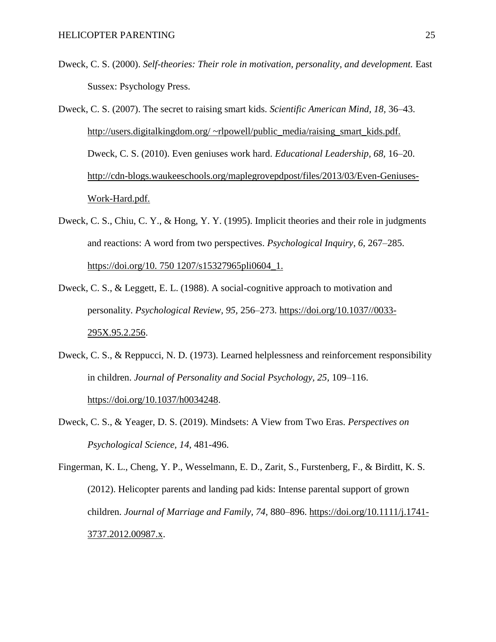Dweck, C. S. (2000). *Self-theories: Their role in motivation, personality, and development.* East Sussex: Psychology Press.

Dweck, C. S. (2007). The secret to raising smart kids. *Scientific American Mind, 18,* 36–43. [http://users.digitalkingdom.org/ ~rlpowell/public\\_media/raising\\_smart\\_kids.pdf.](http://users.digitalkingdom.org/) Dweck, C. S. (2010). Even geniuses work hard. *Educational Leadership, 68,* 16–20. [http://cdn-blogs.waukeeschools.org/maplegrovepdpost/files/2013/03/Even-Geniuses-](http://cdn-blogs.waukeeschools.org/maplegrovepdpost/files/2013/03/Even-Geniuses-Work-Hard.pdf.)[Work-Hard.pdf.](http://cdn-blogs.waukeeschools.org/maplegrovepdpost/files/2013/03/Even-Geniuses-Work-Hard.pdf.) 

- Dweck, C. S., Chiu, C. Y., & Hong, Y. Y. (1995). Implicit theories and their role in judgments and reactions: A word from two perspectives. *Psychological Inquiry, 6,* 267–285. [https://doi.org/10. 750 1207/s15327965pli0604\\_1.](https://doi.org/10.)
- Dweck, C. S., & Leggett, E. L. (1988). A social-cognitive approach to motivation and personality. *Psychological Review, 95,* 256–273. [https://doi.org/10.1037//0033-](https://doi.org/10.1037/0033-295X.95.2.256) [295X.95.2.256.](https://doi.org/10.1037/0033-295X.95.2.256)
- Dweck, C. S., & Reppucci, N. D. (1973). Learned helplessness and reinforcement responsibility in children. *Journal of Personality and Social Psychology, 25,* 109–116. [https://doi.org/10.1037/h0034248.](https://doi.org/10.1037/h0034248)
- Dweck, C. S., & Yeager, D. S. (2019). Mindsets: A View from Two Eras. *Perspectives on Psychological Science, 14,* 481-496.

Fingerman, K. L., Cheng, Y. P., Wesselmann, E. D., Zarit, S., Furstenberg, F., & Birditt, K. S. (2012). Helicopter parents and landing pad kids: Intense parental support of grown children. *Journal of Marriage and Family, 74,* 880–896. [https://doi.org/10.1111/j.1741-](https://doi.org/10.1111/j.1741-3737.2012.00987.x) [3737.2012.00987.x.](https://doi.org/10.1111/j.1741-3737.2012.00987.x)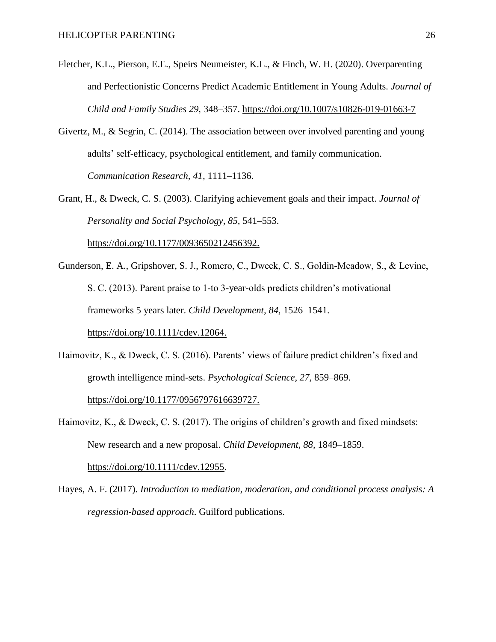- Fletcher, K.L., Pierson, E.E., Speirs Neumeister, K.L., & Finch, W. H. (2020). Overparenting and Perfectionistic Concerns Predict Academic Entitlement in Young Adults. *Journal of Child and Family Studies 29,* 348–357.<https://doi.org/10.1007/s10826-019-01663-7>
- Givertz, M., & Segrin, C. (2014). The association between over involved parenting and young adults' self-efficacy, psychological entitlement, and family communication. *Communication Research, 41,* 1111–1136.
- Grant, H., & Dweck, C. S. (2003). Clarifying achievement goals and their impact. *Journal of Personality and Social Psychology, 85,* 541–553.

<https://doi.org/10.1177/0093650212456392.>

- Gunderson, E. A., Gripshover, S. J., Romero, C., Dweck, C. S., Goldin‐Meadow, S., & Levine, S. C. (2013). Parent praise to 1‐to 3-year-olds predicts children's motivational frameworks 5 years later. *Child Development, 84,* 1526–1541. <https://doi.org/10.1111/cdev.12064.>
- Haimovitz, K., & Dweck, C. S. (2016). Parents' views of failure predict children's fixed and growth intelligence mind-sets. *Psychological Science, 27,* 859–869.

[https://doi.org/10.1177/0956797616639727.](https://doi.org/10.1177/0956797616639727)

- Haimovitz, K., & Dweck, C. S. (2017). The origins of children's growth and fixed mindsets: New research and a new proposal. *Child Development, 88,* 1849–1859. [https://doi.org/10.1111/cdev.12955.](https://doi.org/10.1111/cdev.12955)
- Hayes, A. F. (2017). *Introduction to mediation, moderation, and conditional process analysis: A regression-based approach*. Guilford publications.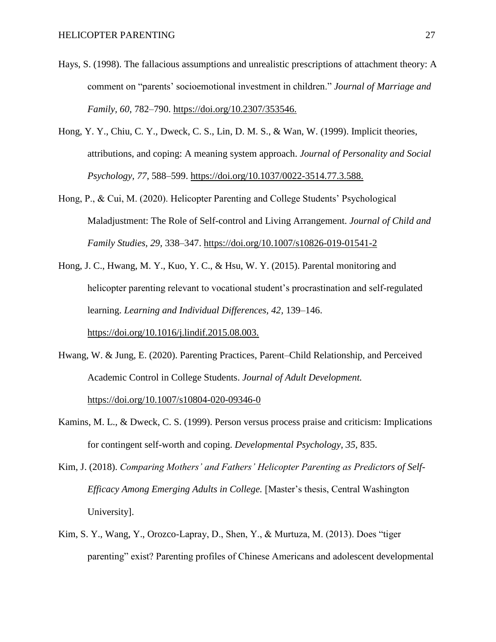- Hays, S. (1998). The fallacious assumptions and unrealistic prescriptions of attachment theory: A comment on "parents' socioemotional investment in children." *Journal of Marriage and Family, 60,* 782–790.<https://doi.org/10.2307/353546.>
- Hong, Y. Y., Chiu, C. Y., Dweck, C. S., Lin, D. M. S., & Wan, W. (1999). Implicit theories, attributions, and coping: A meaning system approach. *Journal of Personality and Social Psychology, 77,* 588–599.<https://doi.org/10.1037/0022-3514.77.3.588.>
- Hong, P., & Cui, M. (2020). Helicopter Parenting and College Students' Psychological Maladjustment: The Role of Self-control and Living Arrangement. *Journal of Child and Family Studies, 29,* 338–347.<https://doi.org/10.1007/s10826-019-01541-2>
- Hong, J. C., Hwang, M. Y., Kuo, Y. C., & Hsu, W. Y. (2015). Parental monitoring and helicopter parenting relevant to vocational student's procrastination and self-regulated learning. *Learning and Individual Differences, 42,* 139–146. <https://doi.org/10.1016/j.lindif.2015.08.003.>
- Hwang, W. & Jung, E. (2020). Parenting Practices, Parent–Child Relationship, and Perceived Academic Control in College Students. *Journal of Adult Development.*  <https://doi.org/10.1007/s10804-020-09346-0>
- Kamins, M. L., & Dweck, C. S. (1999). Person versus process praise and criticism: Implications for contingent self-worth and coping. *Developmental Psychology, 35,* 835.
- Kim, J. (2018). *Comparing Mothers' and Fathers' Helicopter Parenting as Predictors of Self-Efficacy Among Emerging Adults in College.* [Master's thesis, Central Washington University].
- Kim, S. Y., Wang, Y., Orozco-Lapray, D., Shen, Y., & Murtuza, M. (2013). Does "tiger parenting" exist? Parenting profiles of Chinese Americans and adolescent developmental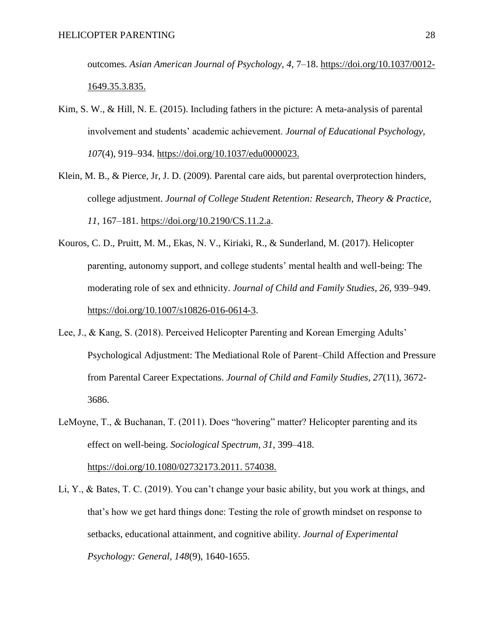outcomes. *Asian American Journal of Psychology, 4,* 7–18. [https://doi.org/10.1037/0012-](https://doi.org/10.1037/0012-1649.35.3.835.) [1649.35.3.835.](https://doi.org/10.1037/0012-1649.35.3.835.) 

- Kim, S. W., & Hill, N. E. (2015). Including fathers in the picture: A meta-analysis of parental involvement and students' academic achievement. *Journal of Educational Psychology, 107*(4), 919–934.<https://doi.org/10.1037/edu0000023.>
- Klein, M. B., & Pierce, Jr, J. D. (2009). Parental care aids, but parental overprotection hinders, college adjustment. *Journal of College Student Retention: Research, Theory & Practice, 11,* 167–181. [https://doi.org/10.2190/CS.11.2.a.](https://doi.org/10.2190/CS.11.2.a)
- Kouros, C. D., Pruitt, M. M., Ekas, N. V., Kiriaki, R., & Sunderland, M. (2017). Helicopter parenting, autonomy support, and college students' mental health and well-being: The moderating role of sex and ethnicity. *Journal of Child and Family Studies, 26,* 939–949. [https://doi.org/10.1007/s10826-016-0614-3.](https://doi.org/10.1007/s10826-016-0614-3)
- Lee, J., & Kang, S. (2018). Perceived Helicopter Parenting and Korean Emerging Adults' Psychological Adjustment: The Mediational Role of Parent–Child Affection and Pressure from Parental Career Expectations. *Journal of Child and Family Studies, 27*(11), 3672- 3686.
- LeMoyne, T., & Buchanan, T. (2011). Does "hovering" matter? Helicopter parenting and its effect on well-being. *Sociological Spectrum, 31,* 399–418. [https://doi.org/10.1080/02732173.2011. 574038.](https://doi.org/10.1080/02732173.2011.)
- Li, Y., & Bates, T. C. (2019). You can't change your basic ability, but you work at things, and that's how we get hard things done: Testing the role of growth mindset on response to setbacks, educational attainment, and cognitive ability. *Journal of Experimental Psychology: General, 148*(9), 1640-1655.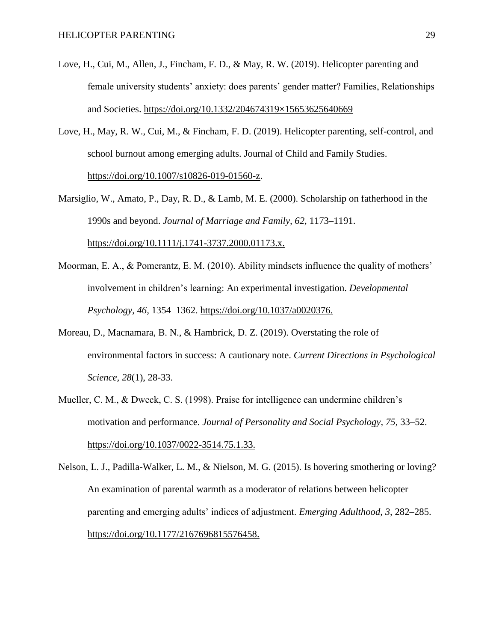- Love, H., Cui, M., Allen, J., Fincham, F. D., & May, R. W. (2019). Helicopter parenting and female university students' anxiety: does parents' gender matter? Families, Relationships and Societies. [https://doi.org/10.1332/204674319×15653625640669](https://doi.org/10.1332/204674319%C3%9715653625640669)
- Love, H., May, R. W., Cui, M., & Fincham, F. D. (2019). Helicopter parenting, self-control, and school burnout among emerging adults. Journal of Child and Family Studies. [https://doi.org/10.1007/s10826-019-01560-z.](https://doi.org/10.1007/s10826-019-01560-z)
- Marsiglio, W., Amato, P., Day, R. D., & Lamb, M. E. (2000). Scholarship on fatherhood in the 1990s and beyond. *Journal of Marriage and Family, 62,* 1173–1191. <https://doi.org/10.1111/j.1741-3737.2000.01173.x.>
- Moorman, E. A., & Pomerantz, E. M. (2010). Ability mindsets influence the quality of mothers' involvement in children's learning: An experimental investigation. *Developmental Psychology, 46,* 1354–1362.<https://doi.org/10.1037/a0020376.>
- Moreau, D., Macnamara, B. N., & Hambrick, D. Z. (2019). Overstating the role of environmental factors in success: A cautionary note. *Current Directions in Psychological Science, 28*(1), 28-33.
- Mueller, C. M., & Dweck, C. S. (1998). Praise for intelligence can undermine children's motivation and performance. *Journal of Personality and Social Psychology, 75,* 33–52. <https://doi.org/10.1037/0022-3514.75.1.33.>
- Nelson, L. J., Padilla-Walker, L. M., & Nielson, M. G. (2015). Is hovering smothering or loving? An examination of parental warmth as a moderator of relations between helicopter parenting and emerging adults' indices of adjustment. *Emerging Adulthood, 3,* 282–285. <https://doi.org/10.1177/2167696815576458.>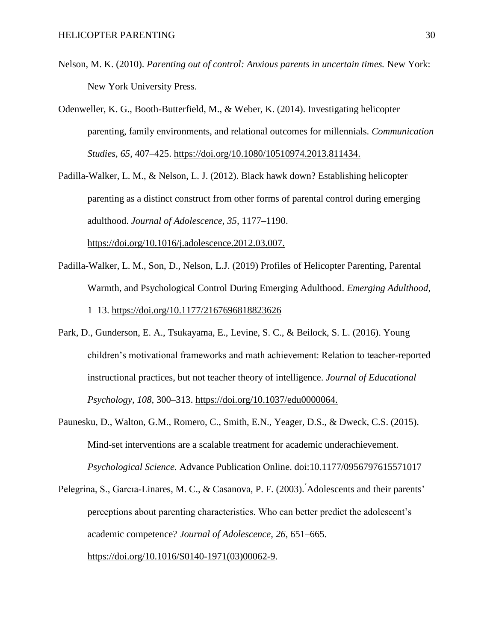- Nelson, M. K. (2010). *Parenting out of control: Anxious parents in uncertain times.* New York: New York University Press.
- Odenweller, K. G., Booth-Butterfield, M., & Weber, K. (2014). Investigating helicopter parenting, family environments, and relational outcomes for millennials. *Communication Studies, 65,* 407–425.<https://doi.org/10.1080/10510974.2013.811434.>
- Padilla-Walker, L. M., & Nelson, L. J. (2012). Black hawk down? Establishing helicopter parenting as a distinct construct from other forms of parental control during emerging adulthood. *Journal of Adolescence, 35,* 1177–1190. <https://doi.org/10.1016/j.adolescence.2012.03.007.>
- Padilla-Walker, L. M., Son, D., Nelson, L.J. (2019) Profiles of Helicopter Parenting, Parental Warmth, and Psychological Control During Emerging Adulthood. *Emerging Adulthood*, 1–13.<https://doi.org/10.1177/2167696818823626>
- Park, D., Gunderson, E. A., Tsukayama, E., Levine, S. C., & Beilock, S. L. (2016). Young children's motivational frameworks and math achievement: Relation to teacher-reported instructional practices, but not teacher theory of intelligence. *Journal of Educational Psychology, 108,* 300–313.<https://doi.org/10.1037/edu0000064.>
- Paunesku, D., Walton, G.M., Romero, C., Smith, E.N., Yeager, D.S., & Dweck, C.S. (2015). Mind-set interventions are a scalable treatment for academic underachievement. *Psychological Science.* Advance Publication Online. doi:10.1177/0956797615571017
- Pelegrina, S., Garcıa-Linares, M. C., & Casanova, P. F. (2003). ́Adolescents and their parents' perceptions about parenting characteristics. Who can better predict the adolescent's academic competence? *Journal of Adolescence, 26,* 651–665. [https://doi.org/10.1016/S0140-1971\(03\)00062-9.](https://doi.org/10.1016/S0140-1971(03)00062-9)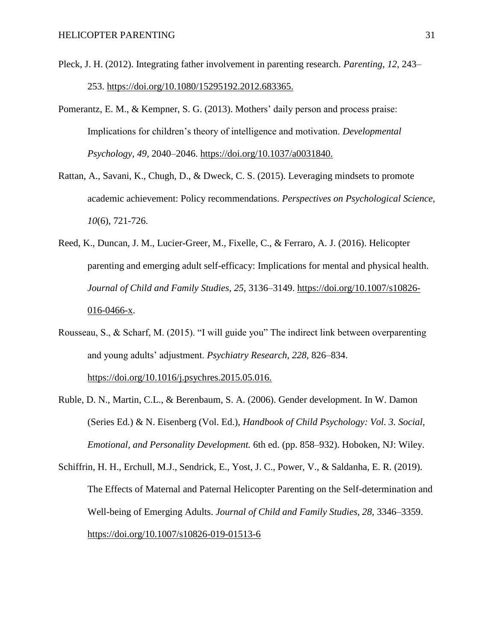- Pleck, J. H. (2012). Integrating father involvement in parenting research. *Parenting, 12,* 243– 253.<https://doi.org/10.1080/15295192.2012.683365.>
- Pomerantz, E. M., & Kempner, S. G. (2013). Mothers' daily person and process praise: Implications for children's theory of intelligence and motivation. *Developmental Psychology, 49,* 2040–2046.<https://doi.org/10.1037/a0031840.>
- Rattan, A., Savani, K., Chugh, D., & Dweck, C. S. (2015). Leveraging mindsets to promote academic achievement: Policy recommendations. *Perspectives on Psychological Science, 10*(6), 721-726.
- Reed, K., Duncan, J. M., Lucier-Greer, M., Fixelle, C., & Ferraro, A. J. (2016). Helicopter parenting and emerging adult self-efficacy: Implications for mental and physical health. *Journal of Child and Family Studies, 25,* 3136–3149. [https://doi.org/10.1007/s10826-](https://doi.org/10.1007/s10826-016-0466-x) [016-0466-x.](https://doi.org/10.1007/s10826-016-0466-x)
- Rousseau, S., & Scharf, M. (2015). "I will guide you" The indirect link between overparenting and young adults' adjustment. *Psychiatry Research, 228,* 826–834. <https://doi.org/10.1016/j.psychres.2015.05.016.>
- Ruble, D. N., Martin, C.L., & Berenbaum, S. A. (2006). Gender development. In W. Damon (Series Ed.) & N. Eisenberg (Vol. Ed.), *Handbook of Child Psychology: Vol. 3. Social, Emotional, and Personality Development.* 6th ed. (pp. 858–932). Hoboken, NJ: Wiley.
- Schiffrin, H. H., Erchull, M.J., Sendrick, E., Yost, J. C., Power, V., & Saldanha, E. R. (2019). The Effects of Maternal and Paternal Helicopter Parenting on the Self-determination and Well-being of Emerging Adults. *Journal of Child and Family Studies, 28,* 3346–3359. <https://doi.org/10.1007/s10826-019-01513-6>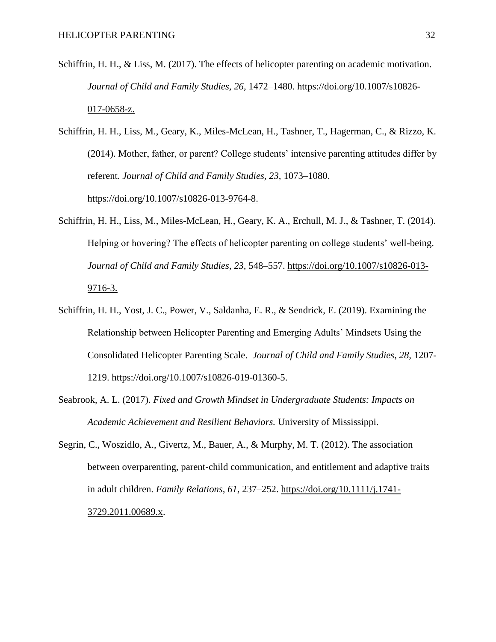- Schiffrin, H. H., & Liss, M. (2017). The effects of helicopter parenting on academic motivation. *Journal of Child and Family Studies, 26,* 1472–1480. [https://doi.org/10.1007/s10826-](https://doi.org/10.1007/s10826-017-0658-z.) [017-0658-z.](https://doi.org/10.1007/s10826-017-0658-z.)
- Schiffrin, H. H., Liss, M., Geary, K., Miles-McLean, H., Tashner, T., Hagerman, C., & Rizzo, K. (2014). Mother, father, or parent? College students' intensive parenting attitudes differ by referent. *Journal of Child and Family Studies, 23,* 1073–1080. <https://doi.org/10.1007/s10826-013-9764-8.>
- Schiffrin, H. H., Liss, M., Miles-McLean, H., Geary, K. A., Erchull, M. J., & Tashner, T. (2014). Helping or hovering? The effects of helicopter parenting on college students' well-being. *Journal of Child and Family Studies, 23,* 548–557. [https://doi.org/10.1007/s10826-013-](https://doi.org/10.1007/s10826-013-9716-3.) [9716-3.](https://doi.org/10.1007/s10826-013-9716-3.)
- Schiffrin, H. H., Yost, J. C., Power, V., Saldanha, E. R., & Sendrick, E. (2019). Examining the Relationship between Helicopter Parenting and Emerging Adults' Mindsets Using the Consolidated Helicopter Parenting Scale. *Journal of Child and Family Studies, 28,* 1207- 1219. [https://doi.org/10.1007/s10826-019-01360-5.](https://doi.org/10.1007/s10826-019-01360-5)
- Seabrook, A. L. (2017). *Fixed and Growth Mindset in Undergraduate Students: Impacts on Academic Achievement and Resilient Behaviors.* University of Mississippi.
- Segrin, C., Woszidlo, A., Givertz, M., Bauer, A., & Murphy, M. T. (2012). The association between overparenting, parent-child communication, and entitlement and adaptive traits in adult children. *Family Relations, 61,* 237–252. [https://doi.org/10.1111/j.1741-](https://doi.org/10.1111/j.1741-3729.2011.00689.x) [3729.2011.00689.x.](https://doi.org/10.1111/j.1741-3729.2011.00689.x)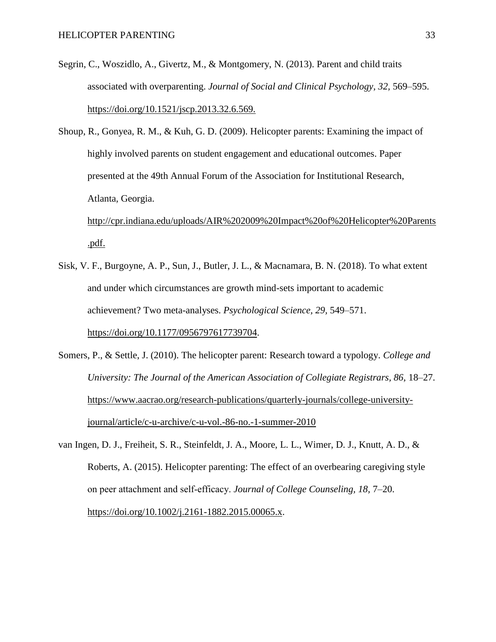- Segrin, C., Woszidlo, A., Givertz, M., & Montgomery, N. (2013). Parent and child traits associated with overparenting. *Journal of Social and Clinical Psychology, 32,* 569–595. <https://doi.org/10.1521/jscp.2013.32.6.569.>
- Shoup, R., Gonyea, R. M., & Kuh, G. D. (2009). Helicopter parents: Examining the impact of highly involved parents on student engagement and educational outcomes. Paper presented at the 49th Annual Forum of the Association for Institutional Research, Atlanta, Georgia.

[http://cpr.indiana.edu/uploads/AIR%202009%20Impact%20of%20Helicopter%20Parents](http://cpr.indiana.edu/uploads/AIR%202009%20Impact%20of%20Helicopter%20Parents.pdf.) [.pdf.](http://cpr.indiana.edu/uploads/AIR%202009%20Impact%20of%20Helicopter%20Parents.pdf.)

- Sisk, V. F., Burgoyne, A. P., Sun, J., Butler, J. L., & Macnamara, B. N. (2018). To what extent and under which circumstances are growth mind-sets important to academic achievement? Two meta-analyses. *Psychological Science, 29,* 549–571. [https://doi.org/10.1177/0956797617739704.](https://doi.org/10.1177/0956797617739704)
- Somers, P., & Settle, J. (2010). The helicopter parent: Research toward a typology. *College and University: The Journal of the American Association of Collegiate Registrars, 86,* 18–27. [https://www.aacrao.org/research-publications/quarterly-journals/college-university](https://www.aacrao.org/research-publications/quarterly-journals/college-university-journal/article/c-u-archive/c-u-vol.-86-no.-1-summer-2010)[journal/article/c-u-archive/c-u-vol.-86-no.-1-summer-2010](https://www.aacrao.org/research-publications/quarterly-journals/college-university-journal/article/c-u-archive/c-u-vol.-86-no.-1-summer-2010)
- van Ingen, D. J., Freiheit, S. R., Steinfeldt, J. A., Moore, L. L., Wimer, D. J., Knutt, A. D., & Roberts, A. (2015). Helicopter parenting: The effect of an overbearing caregiving style on peer attachment and self‐efficacy. *Journal of College Counseling, 18,* 7–20.

[https://doi.org/10.1002/j.2161-1882.2015.00065.x.](https://doi.org/10.1002/j.2161-1882.2015.00065.x)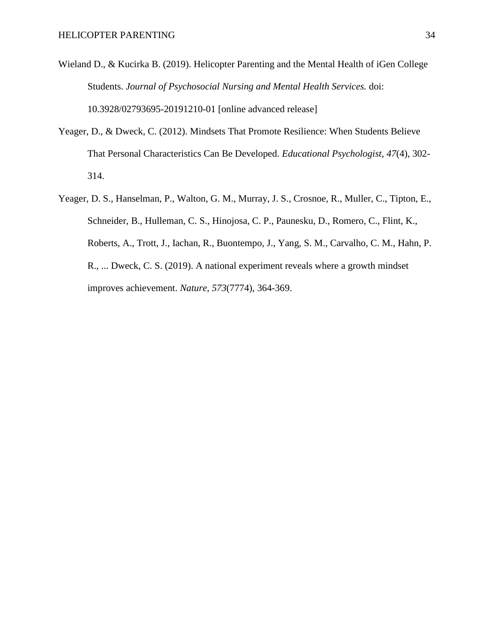- Wieland D., & Kucirka B. (2019). Helicopter Parenting and the Mental Health of iGen College Students. *Journal of Psychosocial Nursing and Mental Health Services.* doi: 10.3928/02793695-20191210-01 [online advanced release]
- Yeager, D., & Dweck, C. (2012). Mindsets That Promote Resilience: When Students Believe That Personal Characteristics Can Be Developed. *Educational Psychologist, 47*(4), 302- 314.
- Yeager, D. S., Hanselman, P., Walton, G. M., Murray, J. S., Crosnoe, R., Muller, C., Tipton, E., Schneider, B., Hulleman, C. S., Hinojosa, C. P., Paunesku, D., Romero, C., Flint, K., Roberts, A., Trott, J., Iachan, R., Buontempo, J., Yang, S. M., Carvalho, C. M., Hahn, P. R., ... Dweck, C. S. (2019). A national experiment reveals where a growth mindset improves achievement. *Nature, 573*(7774), 364-369.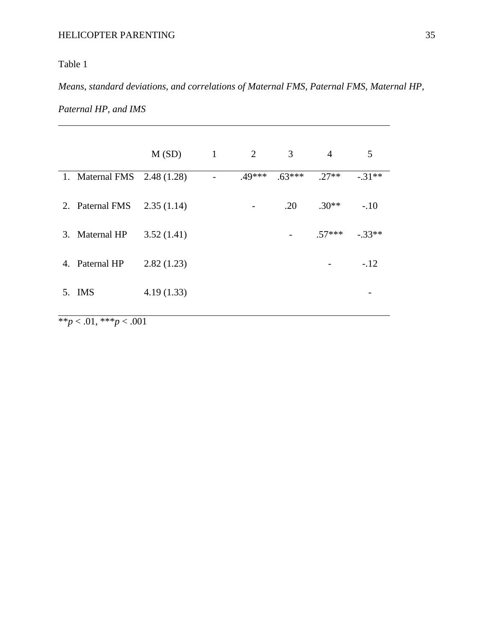### Table 1

*Means, standard deviations, and correlations of Maternal FMS, Paternal FMS, Maternal HP,* 

| Paternal HP, and IMS |  |
|----------------------|--|
|----------------------|--|

|                             | M(SD)      | $\mathbf{1}$ | 3<br>2 |          | $\overline{4}$ | 5        |
|-----------------------------|------------|--------------|--------|----------|----------------|----------|
| 1. Maternal FMS 2.48 (1.28) |            |              | .49*** | $.63***$ | $.27**$        | $-.31**$ |
| 2. Paternal FMS             | 2.35(1.14) |              |        | .20      | $.30**$        | $-.10$   |
| 3. Maternal HP              | 3.52(1.41) |              |        |          | $.57***$       | $-.33**$ |
| 4. Paternal HP              | 2.82(1.23) |              |        |          |                | $-.12$   |
| 5. IMS                      | 4.19(1.33) |              |        |          |                |          |

 $\frac{1}{2}$  \*\**p* < .01, \*\*\**p* < .001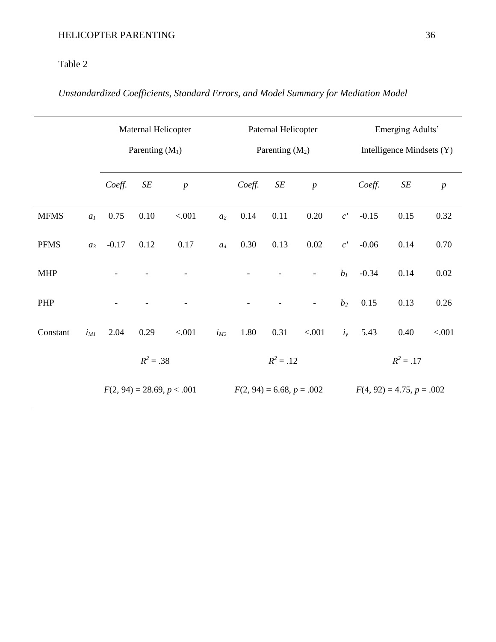### Table 2

# *Unstandardized Coefficients, Standard Errors, and Model Summary for Mediation Model*

|             |                | Maternal Helicopter |                   |                              |             | Paternal Helicopter         |           |                          |                             | Emerging Adults'          |      |                  |  |
|-------------|----------------|---------------------|-------------------|------------------------------|-------------|-----------------------------|-----------|--------------------------|-----------------------------|---------------------------|------|------------------|--|
|             |                |                     | Parenting $(M_1)$ |                              |             | Parenting $(M_2)$           |           |                          |                             | Intelligence Mindsets (Y) |      |                  |  |
|             |                | Coeff.              | $\cal SE$         | $\boldsymbol{p}$             |             | Coeff.                      | $\cal SE$ | $\boldsymbol{p}$         |                             | Coeff.                    | SE   | $\boldsymbol{p}$ |  |
| <b>MFMS</b> | a <sub>l</sub> | 0.75                | 0.10              | < .001                       | $a_2$       | 0.14                        | 0.11      | 0.20                     | $c^{\prime}$                | $-0.15$                   | 0.15 | 0.32             |  |
| <b>PFMS</b> | $a_3$          | $-0.17$             | 0.12              | 0.17                         | $a_4$       | 0.30                        | 0.13      | 0.02                     | c'                          | $-0.06$                   | 0.14 | 0.70             |  |
| <b>MHP</b>  |                |                     |                   |                              |             |                             |           | $\overline{\phantom{a}}$ | $b_I$                       | $-0.34$                   | 0.14 | 0.02             |  |
| PHP         |                |                     |                   |                              |             |                             |           | $\overline{\phantom{a}}$ | $b_2$                       | 0.15                      | 0.13 | 0.26             |  |
| Constant    | $i_{MI}$       | 2.04                | 0.29              | < .001                       | $i_{M2}$    | 1.80                        | 0.31      | < .001                   | $i_{y}$                     | 5.43                      | 0.40 | < .001           |  |
|             |                | $R^2 = .38$         |                   |                              | $R^2 = .12$ |                             |           |                          | $R^2 = .17$                 |                           |      |                  |  |
|             |                |                     |                   | $F(2, 94) = 28.69, p < .001$ |             | $F(2, 94) = 6.68, p = .002$ |           |                          | $F(4, 92) = 4.75, p = .002$ |                           |      |                  |  |